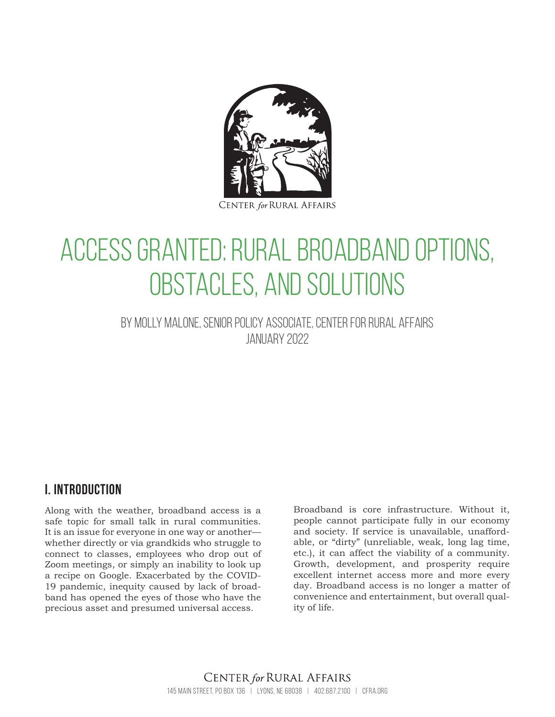

**CENTER for RURAL AFFAIRS** 

# Access Granted: Rural Broadband Options, Obstacles, and Solutions

By Molly Malone, senior policy associate, Center for Rural Affairs JANUARY 2022

# **I. introduction**

Along with the weather, broadband access is a safe topic for small talk in rural communities. It is an issue for everyone in one way or another whether directly or via grandkids who struggle to connect to classes, employees who drop out of Zoom meetings, or simply an inability to look up a recipe on Google. Exacerbated by the COVID-19 pandemic, inequity caused by lack of broadband has opened the eyes of those who have the precious asset and presumed universal access.

Broadband is core infrastructure. Without it, people cannot participate fully in our economy and society. If service is unavailable, unaffordable, or "dirty" (unreliable, weak, long lag time, etc.), it can affect the viability of a community. Growth, development, and prosperity require excellent internet access more and more every day. Broadband access is no longer a matter of convenience and entertainment, but overall quality of life.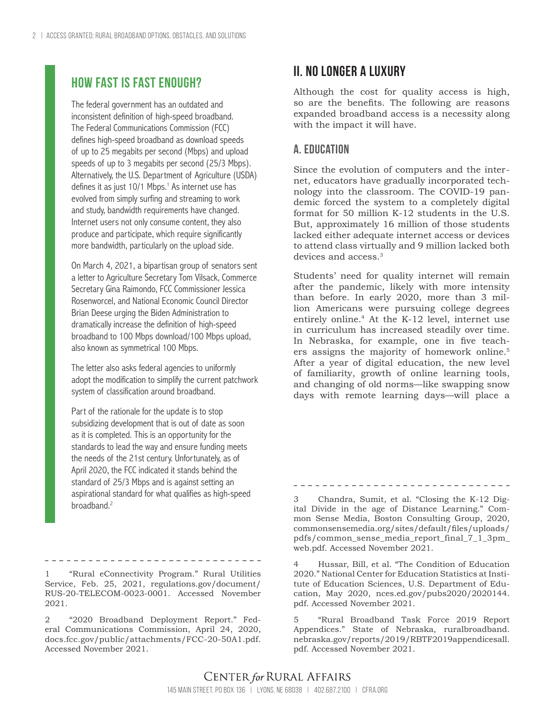# **How fast is fast enough?**

The federal government has an outdated and inconsistent definition of high-speed broadband. The Federal Communications Commission (FCC) defines high-speed broadband as download speeds of up to 25 megabits per second (Mbps) and upload speeds of up to 3 megabits per second (25/3 Mbps). Alternatively, the U.S. Department of Agriculture (USDA) defines it as just 10/1 Mbps.<sup>1</sup> As internet use has evolved from simply surfing and streaming to work and study, bandwidth requirements have changed. Internet users not only consume content, they also produce and participate, which require significantly more bandwidth, particularly on the upload side.

On March 4, 2021, a bipartisan group of senators sent a letter to Agriculture Secretary Tom Vilsack, Commerce Secretary Gina Raimondo, FCC Commissioner Jessica Rosenworcel, and National Economic Council Director Brian Deese urging the Biden Administration to dramatically increase the definition of high-speed broadband to 100 Mbps download/100 Mbps upload, also known as symmetrical 100 Mbps.

The letter also asks federal agencies to uniformly adopt the modification to simplify the current patchwork system of classification around broadband.

Part of the rationale for the update is to stop subsidizing development that is out of date as soon as it is completed. This is an opportunity for the standards to lead the way and ensure funding meets the needs of the 21st century. Unfortunately, as of April 2020, the FCC indicated it stands behind the standard of 25/3 Mbps and is against setting an aspirational standard for what qualifies as high-speed broadband.<sup>2</sup>

1 "Rural eConnectivity Program." Rural Utilities Service, Feb. 25, 2021, regulations.gov/document/ RUS-20-TELECOM-0023-0001. Accessed November 2021.

2 "2020 Broadband Deployment Report." Federal Communications Commission, April 24, 2020, docs.fcc.gov/public/attachments/FCC-20-50A1.pdf. Accessed November 2021.

# **II. No longer a luxury**

Although the cost for quality access is high, so are the benefits. The following are reasons expanded broadband access is a necessity along with the impact it will have.

## **A. Education**

Since the evolution of computers and the internet, educators have gradually incorporated technology into the classroom. The COVID-19 pandemic forced the system to a completely digital format for 50 million K-12 students in the U.S. But, approximately 16 million of those students lacked either adequate internet access or devices to attend class virtually and 9 million lacked both devices and access.<sup>3</sup>

Students' need for quality internet will remain after the pandemic, likely with more intensity than before. In early 2020, more than 3 million Americans were pursuing college degrees entirely online.<sup>4</sup> At the K-12 level, internet use in curriculum has increased steadily over time. In Nebraska, for example, one in five teachers assigns the majority of homework online.5 After a year of digital education, the new level of familiarity, growth of online learning tools, and changing of old norms—like swapping snow days with remote learning days—will place a

3 Chandra, Sumit, et al. "Closing the K-12 Digital Divide in the age of Distance Learning." Common Sense Media, Boston Consulting Group, 2020, commonsensemedia.org/sites/default/files/uploads/ pdfs/common\_sense\_media\_report\_final\_7\_1\_3pm\_ web.pdf. Accessed November 2021.

Hussar, Bill, et al. "The Condition of Education 2020." National Center for Education Statistics at Institute of Education Sciences, U.S. Department of Education, May 2020, nces.ed.gov/pubs2020/2020144. pdf. Accessed November 2021.

5 "Rural Broadband Task Force 2019 Report Appendices." State of Nebraska, ruralbroadband. nebraska.gov/reports/2019/RBTF2019appendicesall. pdf. Accessed November 2021.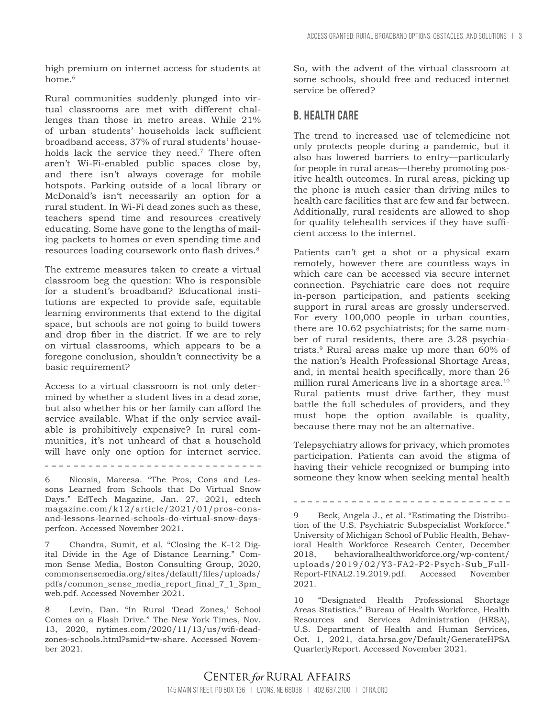high premium on internet access for students at home.<sup>6</sup>

Rural communities suddenly plunged into virtual classrooms are met with different challenges than those in metro areas. While 21% of urban students' households lack sufficient broadband access, 37% of rural students' households lack the service they need.7 There often aren't Wi-Fi-enabled public spaces close by, and there isn't always coverage for mobile hotspots. Parking outside of a local library or McDonald's isn't necessarily an option for a rural student. In Wi-Fi dead zones such as these, teachers spend time and resources creatively educating. Some have gone to the lengths of mailing packets to homes or even spending time and resources loading coursework onto flash drives.<sup>8</sup>

The extreme measures taken to create a virtual classroom beg the question: Who is responsible for a student's broadband? Educational institutions are expected to provide safe, equitable learning environments that extend to the digital space, but schools are not going to build towers and drop fiber in the district. If we are to rely on virtual classrooms, which appears to be a foregone conclusion, shouldn't connectivity be a basic requirement?

Access to a virtual classroom is not only determined by whether a student lives in a dead zone, but also whether his or her family can afford the service available. What if the only service available is prohibitively expensive? In rural communities, it's not unheard of that a household will have only one option for internet service.

-------------------------------

6 Nicosia, Mareesa. "The Pros, Cons and Lessons Learned from Schools that Do Virtual Snow Days." EdTech Magazine, Jan. 27, 2021, edtech magazine.com/k12/article/2021/01/pros-consand-lessons-learned-schools-do-virtual-snow-daysperfcon. Accessed November 2021.

7 Chandra, Sumit, et al. "Closing the K-12 Digital Divide in the Age of Distance Learning." Common Sense Media, Boston Consulting Group, 2020, commonsensemedia.org/sites/default/files/uploads/ pdfs/common\_sense\_media\_report\_final\_7\_1\_3pm\_ web.pdf. Accessed November 2021.

8 Levin, Dan. "In Rural 'Dead Zones,' School Comes on a Flash Drive." The New York Times, Nov. 13, 2020, nytimes.com/2020/11/13/us/wifi-deadzones-schools.html?smid=tw-share. Accessed November 2021.

So, with the advent of the virtual classroom at some schools, should free and reduced internet service be offered?

# **B. Health care**

The trend to increased use of telemedicine not only protects people during a pandemic, but it also has lowered barriers to entry—particularly for people in rural areas—thereby promoting positive health outcomes. In rural areas, picking up the phone is much easier than driving miles to health care facilities that are few and far between. Additionally, rural residents are allowed to shop for quality telehealth services if they have sufficient access to the internet.

Patients can't get a shot or a physical exam remotely, however there are countless ways in which care can be accessed via secure internet connection. Psychiatric care does not require in-person participation, and patients seeking support in rural areas are grossly underserved. For every 100,000 people in urban counties, there are 10.62 psychiatrists; for the same number of rural residents, there are 3.28 psychiatrists.9 Rural areas make up more than 60% of the nation's Health Professional Shortage Areas, and, in mental health specifically, more than 26 million rural Americans live in a shortage area.<sup>10</sup> Rural patients must drive farther, they must battle the full schedules of providers, and they must hope the option available is quality, because there may not be an alternative.

Telepsychiatry allows for privacy, which promotes participation. Patients can avoid the stigma of having their vehicle recognized or bumping into someone they know when seeking mental health

9 Beck, Angela J., et al. "Estimating the Distribution of the U.S. Psychiatric Subspecialist Workforce." University of Michigan School of Public Health, Behavioral Health Workforce Research Center, December 2018, behavioralhealthworkforce.org/wp-content/ uploads/2019/02/Y3-FA2-P2-Psych-Sub\_Full-Report-FINAL2.19.2019.pdf. Accessed November

10 "Designated Health Professional Shortage Areas Statistics." Bureau of Health Workforce, Health Resources and Services Administration (HRSA), U.S. Department of Health and Human Services, Oct. 1, 2021, data.hrsa.gov/Default/GenerateHPSA QuarterlyReport. Accessed November 2021.

2021.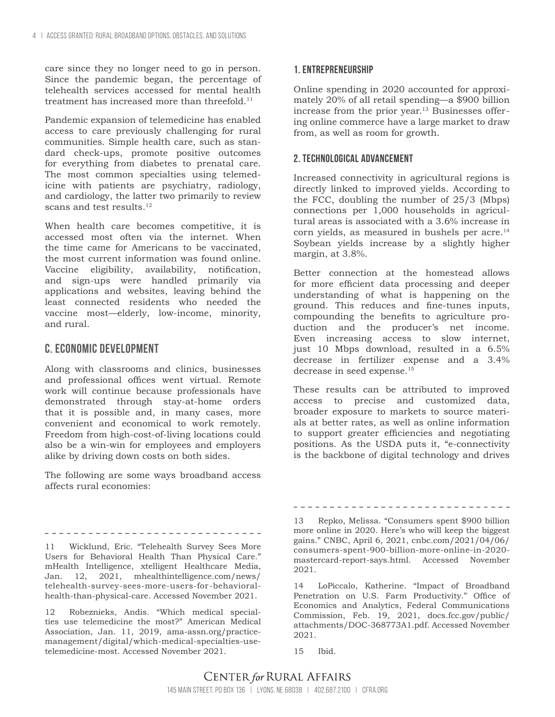care since they no longer need to go in person. Since the pandemic began, the percentage of telehealth services accessed for mental health treatment has increased more than threefold. $11$ 

Pandemic expansion of telemedicine has enabled access to care previously challenging for rural communities. Simple health care, such as standard check-ups, promote positive outcomes for everything from diabetes to prenatal care. The most common specialties using telemedicine with patients are psychiatry, radiology, and cardiology, the latter two primarily to review scans and test results.  $^{\rm 12}$ 

When health care becomes competitive, it is accessed most often via the internet. When the time came for Americans to be vaccinated, the most current information was found online. Vaccine eligibility, availability, notification, and sign-ups were handled primarily via applications and websites, leaving behind the least connected residents who needed the vaccine most—elderly, low-income, minority, and rural.

#### **C. Economic development**

Along with classrooms and clinics, businesses and professional offices went virtual. Remote work will continue because professionals have demonstrated through stay-at-home orders that it is possible and, in many cases, more convenient and economical to work remotely. Freedom from high-cost-of-living locations could also be a win-win for employees and employers alike by driving down costs on both sides.

The following are some ways broadband access affects rural economies:

11 Wicklund, Eric. "Telehealth Survey Sees More Users for Behavioral Health Than Physical Care." mHealth Intelligence, xtelligent Healthcare Media, Jan. 12, 2021, mhealthintelligence.com/news/ telehealth-survey-sees-more-users-for-behavioralhealth-than-physical-care. Accessed November 2021.

12 Robeznieks, Andis. "Which medical specialties use telemedicine the most?" American Medical Association, Jan. 11, 2019, ama-assn.org/practicemanagement/digital/which-medical-specialties-usetelemedicine-most. Accessed November 2021.

#### **1. Entrepreneurship**

Online spending in 2020 accounted for approximately 20% of all retail spending—a \$900 billion increase from the prior year.<sup>13</sup> Businesses offering online commerce have a large market to draw from, as well as room for growth.

#### **2. Technological advancement**

Increased connectivity in agricultural regions is directly linked to improved yields. According to the FCC, doubling the number of 25/3 (Mbps) connections per 1,000 households in agricultural areas is associated with a 3.6% increase in corn yields, as measured in bushels per acre.<sup>14</sup> Soybean yields increase by a slightly higher margin, at 3.8%.

Better connection at the homestead allows for more efficient data processing and deeper understanding of what is happening on the ground. This reduces and fine-tunes inputs, compounding the benefits to agriculture production and the producer's net income. Even increasing access to slow internet, just 10 Mbps download, resulted in a 6.5% decrease in fertilizer expense and a 3.4% decrease in seed expense.<sup>15</sup>

These results can be attributed to improved access to precise and customized data, broader exposure to markets to source materials at better rates, as well as online information to support greater efficiencies and negotiating positions. As the USDA puts it, "e-connectivity is the backbone of digital technology and drives

13 Repko, Melissa. "Consumers spent \$900 billion more online in 2020. Here's who will keep the biggest gains." CNBC, April 6, 2021, cnbc.com/2021/04/06/ consumers-spent-900-billion-more-online-in-2020 mastercard-report-says.html. Accessed November 2021.

14 LoPiccalo, Katherine. "Impact of Broadband Penetration on U.S. Farm Productivity." Office of Economics and Analytics, Federal Communications Commission, Feb. 19, 2021, docs.fcc.gov/public/ attachments/DOC-368773A1.pdf. Accessed November 2021.

15 Ibid.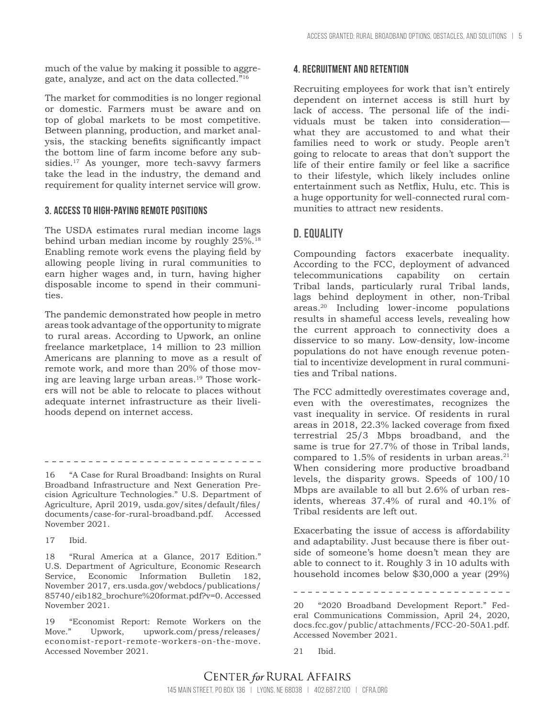much of the value by making it possible to aggregate, analyze, and act on the data collected."16

The market for commodities is no longer regional or domestic. Farmers must be aware and on top of global markets to be most competitive. Between planning, production, and market analysis, the stacking benefits significantly impact the bottom line of farm income before any subsidies.<sup>17</sup> As younger, more tech-savvy farmers take the lead in the industry, the demand and requirement for quality internet service will grow.

#### **3. Access to high-paying remote positions**

The USDA estimates rural median income lags behind urban median income by roughly 25%.18 Enabling remote work evens the playing field by allowing people living in rural communities to earn higher wages and, in turn, having higher disposable income to spend in their communities.

The pandemic demonstrated how people in metro areas took advantage of the opportunity to migrate to rural areas. According to Upwork, an online freelance marketplace, 14 million to 23 million Americans are planning to move as a result of remote work, and more than 20% of those moving are leaving large urban areas.19 Those workers will not be able to relocate to places without adequate internet infrastructure as their livelihoods depend on internet access.

16 "A Case for Rural Broadband: Insights on Rural Broadband Infrastructure and Next Generation Precision Agriculture Technologies." U.S. Department of Agriculture, April 2019, usda.gov/sites/default/files/ documents/case-for-rural-broadband.pdf. Accessed November 2021.

18 "Rural America at a Glance, 2017 Edition." U.S. Department of Agriculture, Economic Research Service, Economic Information Bulletin 182, November 2017, ers.usda.gov/webdocs/publications/ 85740/eib182\_brochure%20format.pdf?v=0. Accessed November 2021.

19 "Economist Report: Remote Workers on the Move." Upwork, upwork.com/press/releases/ economist-report-remote-workers-on-the-move. Accessed November 2021.

#### **4. Recruitment and retention**

Recruiting employees for work that isn't entirely dependent on internet access is still hurt by lack of access. The personal life of the individuals must be taken into consideration what they are accustomed to and what their families need to work or study. People aren't going to relocate to areas that don't support the life of their entire family or feel like a sacrifice to their lifestyle, which likely includes online entertainment such as Netflix, Hulu, etc. This is a huge opportunity for well-connected rural communities to attract new residents.

## **D. Equality**

Compounding factors exacerbate inequality. According to the FCC, deployment of advanced telecommunications capability on certain Tribal lands, particularly rural Tribal lands, lags behind deployment in other, non-Tribal areas.20 Including lower-income populations results in shameful access levels, revealing how the current approach to connectivity does a disservice to so many. Low-density, low-income populations do not have enough revenue potential to incentivize development in rural communities and Tribal nations.

The FCC admittedly overestimates coverage and, even with the overestimates, recognizes the vast inequality in service. Of residents in rural areas in 2018, 22.3% lacked coverage from fixed terrestrial 25/3 Mbps broadband, and the same is true for 27.7% of those in Tribal lands, compared to  $1.5\%$  of residents in urban areas.<sup>21</sup> When considering more productive broadband levels, the disparity grows. Speeds of 100/10 Mbps are available to all but 2.6% of urban residents, whereas 37.4% of rural and 40.1% of Tribal residents are left out.

Exacerbating the issue of access is affordability and adaptability. Just because there is fiber outside of someone's home doesn't mean they are able to connect to it. Roughly 3 in 10 adults with household incomes below \$30,000 a year (29%)

<sup>17</sup> Ibid.

<sup>20</sup> "2020 Broadband Development Report." Federal Communications Commission, April 24, 2020, docs.fcc.gov/public/attachments/FCC-20-50A1.pdf. Accessed November 2021.

<sup>21</sup> Ibid.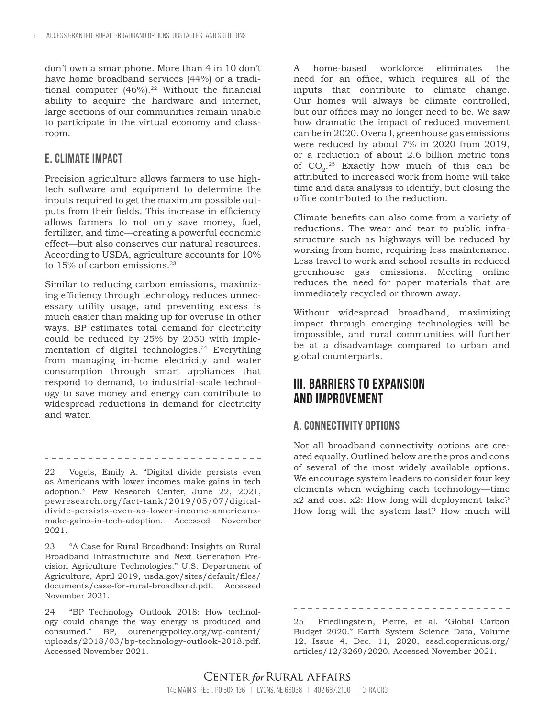don't own a smartphone. More than 4 in 10 don't have home broadband services (44%) or a traditional computer  $(46\%)$ .<sup>22</sup> Without the financial ability to acquire the hardware and internet, large sections of our communities remain unable to participate in the virtual economy and classroom.

#### **E. Climate impact**

Precision agriculture allows farmers to use hightech software and equipment to determine the inputs required to get the maximum possible outputs from their fields. This increase in efficiency allows farmers to not only save money, fuel, fertilizer, and time—creating a powerful economic effect—but also conserves our natural resources. According to USDA, agriculture accounts for 10% to 15% of carbon emissions.<sup>23</sup>

Similar to reducing carbon emissions, maximizing efficiency through technology reduces unnecessary utility usage, and preventing excess is much easier than making up for overuse in other ways. BP estimates total demand for electricity could be reduced by 25% by 2050 with implementation of digital technologies.<sup>24</sup> Everything from managing in-home electricity and water consumption through smart appliances that respond to demand, to industrial-scale technology to save money and energy can contribute to widespread reductions in demand for electricity and water.

\_\_\_\_\_\_\_\_\_\_\_\_\_\_\_\_\_\_\_\_\_\_\_\_\_\_\_\_\_\_\_\_\_ 22 Vogels, Emily A. "Digital divide persists even

as Americans with lower incomes make gains in tech adoption." Pew Research Center, June 22, 2021, pewresearch.org/fact-tank/2019/05/07/digitaldivide-persists-even-as-lower-income-americansmake-gains-in-tech-adoption. Accessed November 2021.

23 "A Case for Rural Broadband: Insights on Rural Broadband Infrastructure and Next Generation Precision Agriculture Technologies." U.S. Department of Agriculture, April 2019, usda.gov/sites/default/files/ documents/case-for-rural-broadband.pdf. Accessed November 2021.

24 "BP Technology Outlook 2018: How technology could change the way energy is produced and consumed." BP, ourenergypolicy.org/wp-content/ uploads/2018/03/bp-technology-outlook-2018.pdf. Accessed November 2021.

A home-based workforce eliminates the need for an office, which requires all of the inputs that contribute to climate change. Our homes will always be climate controlled, but our offices may no longer need to be. We saw how dramatic the impact of reduced movement can be in 2020. Overall, greenhouse gas emissions were reduced by about 7% in 2020 from 2019, or a reduction of about 2.6 billion metric tons of  $CO_2$ .<sup>25</sup> Exactly how much of this can be attributed to increased work from home will take time and data analysis to identify, but closing the office contributed to the reduction.

Climate benefits can also come from a variety of reductions. The wear and tear to public infrastructure such as highways will be reduced by working from home, requiring less maintenance. Less travel to work and school results in reduced greenhouse gas emissions. Meeting online reduces the need for paper materials that are immediately recycled or thrown away.

Without widespread broadband, maximizing impact through emerging technologies will be impossible, and rural communities will further be at a disadvantage compared to urban and global counterparts.

# **III. Barriers to expansion and improvement**

## **A. Connectivity options**

Not all broadband connectivity options are created equally. Outlined below are the pros and cons of several of the most widely available options. We encourage system leaders to consider four key elements when weighing each technology—time x2 and cost x2: How long will deployment take? How long will the system last? How much will

-------------------------------

25 Friedlingstein, Pierre, et al. "Global Carbon Budget 2020." Earth System Science Data, Volume 12, Issue 4, Dec. 11, 2020, essd.copernicus.org/ articles/12/3269/2020. Accessed November 2021.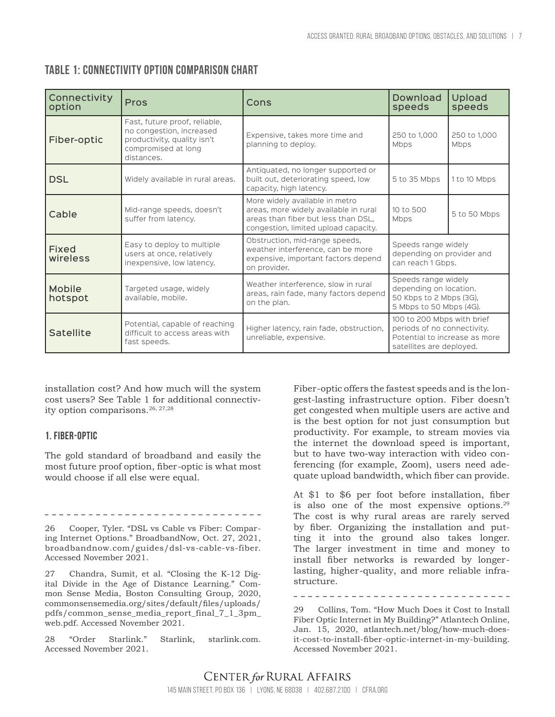| Connectivity<br>option   | <b>Pros</b>                                                                                                                   | Cons                                                                                                                                                   | Download<br>speeds                                                                                                     | Upload<br>speeds     |
|--------------------------|-------------------------------------------------------------------------------------------------------------------------------|--------------------------------------------------------------------------------------------------------------------------------------------------------|------------------------------------------------------------------------------------------------------------------------|----------------------|
| Fiber-optic              | Fast, future proof, reliable,<br>no congestion, increased<br>productivity, quality isn't<br>compromised at long<br>distances. | Expensive, takes more time and<br>planning to deploy.                                                                                                  | 250 to 1,000<br>Mbps                                                                                                   | 250 to 1,000<br>Mbps |
| <b>DSL</b>               | Widely available in rural areas.                                                                                              | Antiquated, no longer supported or<br>built out, deteriorating speed, low<br>capacity, high latency.                                                   | 5 to 35 Mbps                                                                                                           | 1 to 10 Mbps         |
| Cable                    | Mid-range speeds, doesn't<br>suffer from latency.                                                                             | More widely available in metro<br>areas, more widely available in rural<br>areas than fiber but less than DSL,<br>congestion, limited upload capacity. | 10 to 500<br>Mbps                                                                                                      | 5 to 50 Mbps         |
| <b>Fixed</b><br>wireless | Easy to deploy to multiple<br>users at once, relatively<br>inexpensive, low latency.                                          | Obstruction, mid-range speeds,<br>weather interference, can be more<br>expensive, important factors depend<br>on provider.                             | Speeds range widely<br>depending on provider and<br>can reach 1 Gbps.                                                  |                      |
| Mobile<br>hotspot        | Targeted usage, widely<br>available, mobile.                                                                                  | Weather interference, slow in rural<br>areas, rain fade, many factors depend<br>on the plan.                                                           | Speeds range widely<br>depending on location.<br>50 Kbps to 2 Mbps (3G),<br>5 Mbps to 50 Mbps (4G).                    |                      |
| <b>Satellite</b>         | Potential, capable of reaching<br>difficult to access areas with<br>fast speeds.                                              | Higher latency, rain fade, obstruction,<br>unreliable, expensive.                                                                                      | 100 to 200 Mbps with brief<br>periods of no connectivity.<br>Potential to increase as more<br>satellites are deployed. |                      |

## **Table 1: Connectivity option comparison chart**

installation cost? And how much will the system cost users? See Table 1 for additional connectivity option comparisons.<sup>26, 27,28</sup>

#### **1. Fiber-Optic**

The gold standard of broadband and easily the most future proof option, fiber-optic is what most would choose if all else were equal.

--------------------------------

26 Cooper, Tyler. "DSL vs Cable vs Fiber: Comparing Internet Options." BroadbandNow, Oct. 27, 2021, broadbandnow.com/guides/dsl-vs-cable-vs-fiber. Accessed November 2021.

27 Chandra, Sumit, et al. "Closing the K-12 Digital Divide in the Age of Distance Learning." Common Sense Media, Boston Consulting Group, 2020, commonsensemedia.org/sites/default/files/uploads/ pdfs/common\_sense\_media\_report\_final\_7\_1\_3pm\_ web.pdf. Accessed November 2021.

28 "Order Starlink." Starlink, starlink.com. Accessed November 2021.

Fiber-optic offers the fastest speeds and is the longest-lasting infrastructure option. Fiber doesn't get congested when multiple users are active and is the best option for not just consumption but productivity. For example, to stream movies via the internet the download speed is important, but to have two-way interaction with video conferencing (for example, Zoom), users need adequate upload bandwidth, which fiber can provide.

At \$1 to \$6 per foot before installation, fiber is also one of the most expensive options. $29$ The cost is why rural areas are rarely served by fiber. Organizing the installation and putting it into the ground also takes longer. The larger investment in time and money to install fiber networks is rewarded by longerlasting, higher-quality, and more reliable infrastructure.

29 Collins, Tom. "How Much Does it Cost to Install Fiber Optic Internet in My Building?" Atlantech Online, Jan. 15, 2020, atlantech.net/blog/how-much-doesit-cost-to-install-fiber-optic-internet-in-my-building. Accessed November 2021.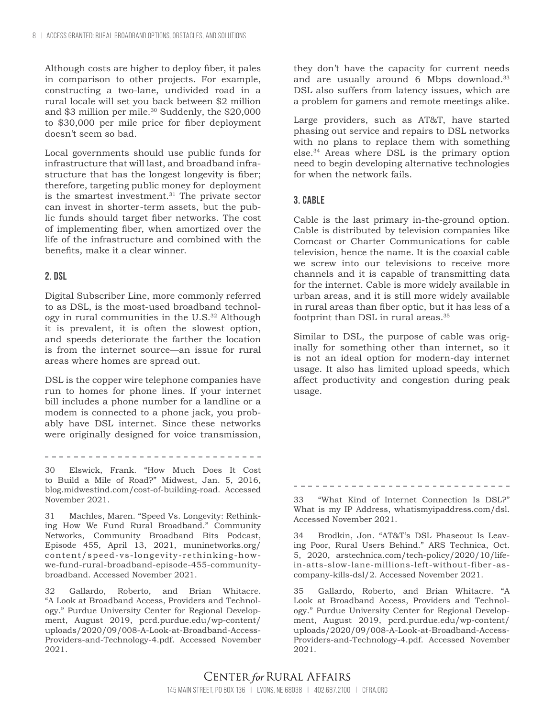Although costs are higher to deploy fiber, it pales in comparison to other projects. For example, constructing a two-lane, undivided road in a rural locale will set you back between \$2 million and \$3 million per mile. $30$  Suddenly, the \$20,000 to \$30,000 per mile price for fiber deployment doesn't seem so bad.

Local governments should use public funds for infrastructure that will last, and broadband infrastructure that has the longest longevity is fiber; therefore, targeting public money for deployment is the smartest investment.<sup>31</sup> The private sector can invest in shorter-term assets, but the public funds should target fiber networks. The cost of implementing fiber, when amortized over the life of the infrastructure and combined with the benefits, make it a clear winner.

#### **2. DSL**

Digital Subscriber Line, more commonly referred to as DSL, is the most-used broadband technology in rural communities in the U.S.32 Although it is prevalent, it is often the slowest option, and speeds deteriorate the farther the location is from the internet source—an issue for rural areas where homes are spread out.

DSL is the copper wire telephone companies have run to homes for phone lines. If your internet bill includes a phone number for a landline or a modem is connected to a phone jack, you probably have DSL internet. Since these networks were originally designed for voice transmission,

. . . . . . . . . . . . . . . . . .

30 Elswick, Frank. "How Much Does It Cost to Build a Mile of Road?" Midwest, Jan. 5, 2016, blog.midwestind.com/cost-of-building-road. Accessed November 2021.

31 Machles, Maren. "Speed Vs. Longevity: Rethinking How We Fund Rural Broadband." Community Networks, Community Broadband Bits Podcast, Episode 455, April 13, 2021, muninetworks.org/ content/speed-vs-longevity-rethinking-howwe-fund-rural-broadband-episode-455-communitybroadband. Accessed November 2021.

32 Gallardo, Roberto, and Brian Whitacre. "A Look at Broadband Access, Providers and Technology." Purdue University Center for Regional Development, August 2019, pcrd.purdue.edu/wp-content/ uploads/2020/09/008-A-Look-at-Broadband-Access-Providers-and-Technology-4.pdf. Accessed November 2021.

they don't have the capacity for current needs and are usually around 6 Mbps download.<sup>33</sup> DSL also suffers from latency issues, which are a problem for gamers and remote meetings alike.

Large providers, such as AT&T, have started phasing out service and repairs to DSL networks with no plans to replace them with something else.34 Areas where DSL is the primary option need to begin developing alternative technologies for when the network fails.

#### **3. Cable**

Cable is the last primary in-the-ground option. Cable is distributed by television companies like Comcast or Charter Communications for cable television, hence the name. It is the coaxial cable we screw into our televisions to receive more channels and it is capable of transmitting data for the internet. Cable is more widely available in urban areas, and it is still more widely available in rural areas than fiber optic, but it has less of a footprint than DSL in rural areas.35

Similar to DSL, the purpose of cable was originally for something other than internet, so it is not an ideal option for modern-day internet usage. It also has limited upload speeds, which affect productivity and congestion during peak usage.

33 "What Kind of Internet Connection Is DSL?" What is my IP Address, whatismyipaddress.com/dsl. Accessed November 2021.

34 Brodkin, Jon. "AT&T's DSL Phaseout Is Leaving Poor, Rural Users Behind." ARS Technica, Oct. 5, 2020, arstechnica.com/tech-policy/2020/10/lifein-atts-slow-lane-millions-left-without-fiber-ascompany-kills-dsl/2. Accessed November 2021.

35 Gallardo, Roberto, and Brian Whitacre. "A Look at Broadband Access, Providers and Technology." Purdue University Center for Regional Development, August 2019, pcrd.purdue.edu/wp-content/ uploads/2020/09/008-A-Look-at-Broadband-Access-Providers-and-Technology-4.pdf. Accessed November 2021.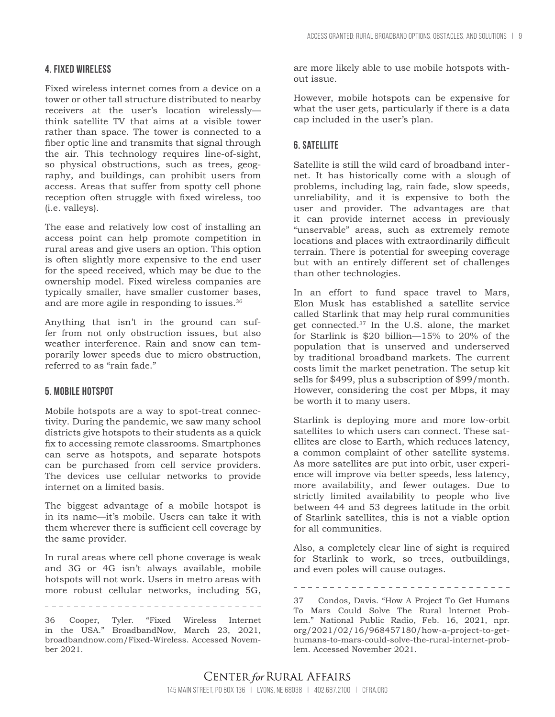#### **4. Fixed wireless**

Fixed wireless internet comes from a device on a tower or other tall structure distributed to nearby receivers at the user's location wirelessly think satellite TV that aims at a visible tower rather than space. The tower is connected to a fiber optic line and transmits that signal through the air. This technology requires line-of-sight, so physical obstructions, such as trees, geography, and buildings, can prohibit users from access. Areas that suffer from spotty cell phone reception often struggle with fixed wireless, too (i.e. valleys).

The ease and relatively low cost of installing an access point can help promote competition in rural areas and give users an option. This option is often slightly more expensive to the end user for the speed received, which may be due to the ownership model. Fixed wireless companies are typically smaller, have smaller customer bases, and are more agile in responding to issues.36

Anything that isn't in the ground can suffer from not only obstruction issues, but also weather interference. Rain and snow can temporarily lower speeds due to micro obstruction, referred to as "rain fade."

#### **5. Mobile Hotspot**

Mobile hotspots are a way to spot-treat connectivity. During the pandemic, we saw many school districts give hotspots to their students as a quick fix to accessing remote classrooms. Smartphones can serve as hotspots, and separate hotspots can be purchased from cell service providers. The devices use cellular networks to provide internet on a limited basis.

The biggest advantage of a mobile hotspot is in its name—it's mobile. Users can take it with them wherever there is sufficient cell coverage by the same provider.

In rural areas where cell phone coverage is weak and 3G or 4G isn't always available, mobile hotspots will not work. Users in metro areas with more robust cellular networks, including 5G,

\_\_\_\_\_\_\_\_\_\_\_\_\_\_\_\_\_\_\_\_\_\_\_\_\_\_\_\_\_\_\_\_\_\_

36 Cooper, Tyler. "Fixed Wireless Internet in the USA." BroadbandNow, March 23, 2021, broadbandnow.com/Fixed-Wireless. Accessed November 2021.

are more likely able to use mobile hotspots without issue.

However, mobile hotspots can be expensive for what the user gets, particularly if there is a data cap included in the user's plan.

## **6. Satellite**

Satellite is still the wild card of broadband internet. It has historically come with a slough of problems, including lag, rain fade, slow speeds, unreliability, and it is expensive to both the user and provider. The advantages are that it can provide internet access in previously "unservable" areas, such as extremely remote locations and places with extraordinarily difficult terrain. There is potential for sweeping coverage but with an entirely different set of challenges than other technologies.

In an effort to fund space travel to Mars, Elon Musk has established a satellite service called Starlink that may help rural communities get connected.37 In the U.S. alone, the market for Starlink is \$20 billion—15% to 20% of the population that is unserved and underserved by traditional broadband markets. The current costs limit the market penetration. The setup kit sells for \$499, plus a subscription of \$99/month. However, considering the cost per Mbps, it may be worth it to many users.

Starlink is deploying more and more low-orbit satellites to which users can connect. These satellites are close to Earth, which reduces latency, a common complaint of other satellite systems. As more satellites are put into orbit, user experience will improve via better speeds, less latency, more availability, and fewer outages. Due to strictly limited availability to people who live between 44 and 53 degrees latitude in the orbit of Starlink satellites, this is not a viable option for all communities.

Also, a completely clear line of sight is required for Starlink to work, so trees, outbuildings, and even poles will cause outages.

37 Condos, Davis. "How A Project To Get Humans To Mars Could Solve The Rural Internet Problem." National Public Radio, Feb. 16, 2021, npr. org/2021/02/16/968457180/how-a-project-to-gethumans-to-mars-could-solve-the-rural-internet-problem. Accessed November 2021.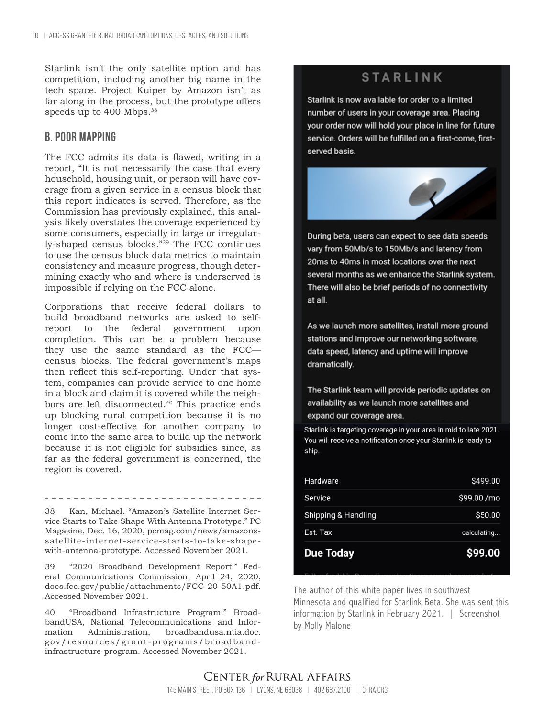Starlink isn't the only satellite option and has competition, including another big name in the tech space. Project Kuiper by Amazon isn't as far along in the process, but the prototype offers speeds up to 400 Mbps.<sup>38</sup>

## **B. Poor mapping**

The FCC admits its data is flawed, writing in a report, "It is not necessarily the case that every household, housing unit, or person will have coverage from a given service in a census block that this report indicates is served. Therefore, as the Commission has previously explained, this analysis likely overstates the coverage experienced by some consumers, especially in large or irregularly-shaped census blocks."39 The FCC continues to use the census block data metrics to maintain consistency and measure progress, though determining exactly who and where is underserved is impossible if relying on the FCC alone.

Corporations that receive federal dollars to build broadband networks are asked to selfreport to the federal government upon completion. This can be a problem because they use the same standard as the FCC census blocks. The federal government's maps then reflect this self-reporting. Under that system, companies can provide service to one home in a block and claim it is covered while the neighbors are left disconnected.40 This practice ends up blocking rural competition because it is no longer cost-effective for another company to come into the same area to build up the network because it is not eligible for subsidies since, as far as the federal government is concerned, the region is covered.

38 Kan, Michael. "Amazon's Satellite Internet Service Starts to Take Shape With Antenna Prototype." PC Magazine, Dec. 16, 2020, pcmag.com/news/amazonssatellite-internet-service-starts-to-take-shapewith-antenna-prototype. Accessed November 2021.

39 "2020 Broadband Development Report." Federal Communications Commission, April 24, 2020, docs.fcc.gov/public/attachments/FCC-20-50A1.pdf. Accessed November 2021.

40 "Broadband Infrastructure Program." BroadbandUSA, National Telecommunications and Information Administration, broadbandusa.ntia.doc. gov/resources/grant-programs/broadbandinfrastructure-program. Accessed November 2021.

# **STARLINK**

Starlink is now available for order to a limited number of users in your coverage area. Placing your order now will hold your place in line for future service. Orders will be fulfilled on a first-come, firstserved basis.



During beta, users can expect to see data speeds vary from 50Mb/s to 150Mb/s and latency from 20ms to 40ms in most locations over the next several months as we enhance the Starlink system. There will also be brief periods of no connectivity at all.

As we launch more satellites, install more ground stations and improve our networking software, data speed, latency and uptime will improve dramatically.

The Starlink team will provide periodic updates on availability as we launch more satellites and expand our coverage area.

Starlink is targeting coverage in your area in mid to late 2021. You will receive a notification once your Starlink is ready to ship.

| <b>Due Today</b>    | \$99.00     |
|---------------------|-------------|
| Est. Tax            | calculating |
| Shipping & Handling | \$50.00     |
| Service             | \$99.00 /mo |
| Hardware            | \$499.00    |

The author of this white paper lives in southwest Minnesota and qualified for Starlink Beta. She was sent this information by Starlink in February 2021. | Screenshot by Molly Malone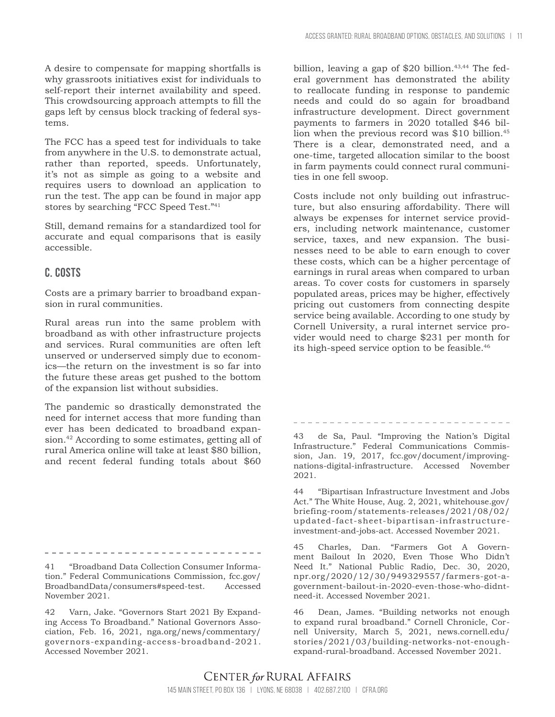A desire to compensate for mapping shortfalls is why grassroots initiatives exist for individuals to self-report their internet availability and speed. This crowdsourcing approach attempts to fill the gaps left by census block tracking of federal systems.

The FCC has a speed test for individuals to take from anywhere in the U.S. to demonstrate actual, rather than reported, speeds. Unfortunately, it's not as simple as going to a website and requires users to download an application to run the test. The app can be found in major app stores by searching "FCC Speed Test."41

Still, demand remains for a standardized tool for accurate and equal comparisons that is easily accessible.

## **C. Costs**

Costs are a primary barrier to broadband expansion in rural communities.

Rural areas run into the same problem with broadband as with other infrastructure projects and services. Rural communities are often left unserved or underserved simply due to economics—the return on the investment is so far into the future these areas get pushed to the bottom of the expansion list without subsidies.

The pandemic so drastically demonstrated the need for internet access that more funding than ever has been dedicated to broadband expansion.42 According to some estimates, getting all of rural America online will take at least \$80 billion, and recent federal funding totals about \$60

41 "Broadband Data Collection Consumer Information." Federal Communications Commission, fcc.gov/ BroadbandData/consumers#speed-test. Accessed November 2021.

42 Varn, Jake. "Governors Start 2021 By Expanding Access To Broadband." National Governors Association, Feb. 16, 2021, nga.org/news/commentary/ governors-expanding-access-broadband-2021. Accessed November 2021.

billion, leaving a gap of  $$20$  billion.<sup>43,44</sup> The federal government has demonstrated the ability to reallocate funding in response to pandemic needs and could do so again for broadband infrastructure development. Direct government payments to farmers in 2020 totalled \$46 billion when the previous record was \$10 billion.<sup>45</sup> There is a clear, demonstrated need, and a one-time, targeted allocation similar to the boost in farm payments could connect rural communities in one fell swoop.

Costs include not only building out infrastructure, but also ensuring affordability. There will always be expenses for internet service providers, including network maintenance, customer service, taxes, and new expansion. The businesses need to be able to earn enough to cover these costs, which can be a higher percentage of earnings in rural areas when compared to urban areas. To cover costs for customers in sparsely populated areas, prices may be higher, effectively pricing out customers from connecting despite service being available. According to one study by Cornell University, a rural internet service provider would need to charge \$231 per month for its high-speed service option to be feasible.46

\_\_\_\_\_\_\_\_\_\_\_\_\_\_\_\_\_\_\_\_\_\_\_\_\_\_\_\_\_\_\_ 43 de Sa, Paul. "Improving the Nation's Digital

Infrastructure." Federal Communications Commission, Jan. 19, 2017, fcc.gov/document/improvingnations-digital-infrastructure. Accessed November 2021.

44 "Bipartisan Infrastructure Investment and Jobs Act." The White House, Aug. 2, 2021, whitehouse.gov/ briefing-room/statements-releases/2021/08/02/ updated-fact-sheet-bipartisan-infrastructureinvestment-and-jobs-act. Accessed November 2021.

45 Charles, Dan. "Farmers Got A Government Bailout In 2020, Even Those Who Didn't Need It." National Public Radio, Dec. 30, 2020, npr.org/2020/12/30/949329557/farmers-got-agovernment-bailout-in-2020-even-those-who-didntneed-it. Accessed November 2021.

46 Dean, James. "Building networks not enough to expand rural broadband." Cornell Chronicle, Cornell University, March 5, 2021, news.cornell.edu/ stories/2021/03/building-networks-not-enoughexpand-rural-broadband. Accessed November 2021.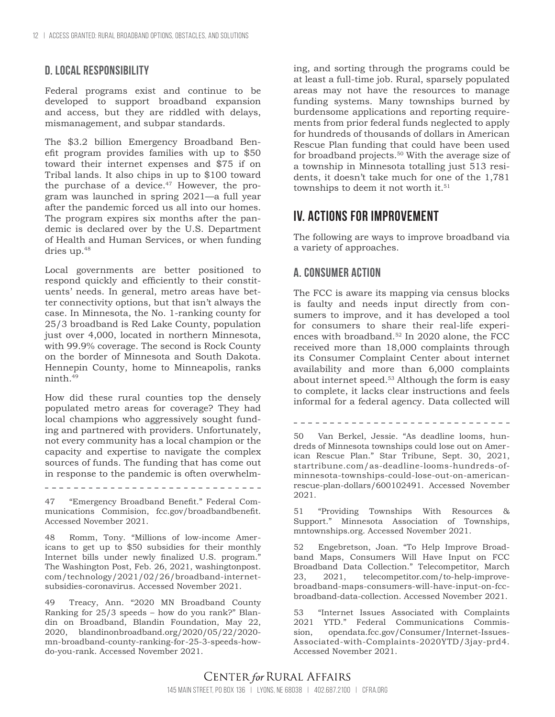## **D. Local responsibility**

Federal programs exist and continue to be developed to support broadband expansion and access, but they are riddled with delays, mismanagement, and subpar standards.

The \$3.2 billion Emergency Broadband Benefit program provides families with up to \$50 toward their internet expenses and \$75 if on Tribal lands. It also chips in up to \$100 toward the purchase of a device. $47$  However, the program was launched in spring 2021—a full year after the pandemic forced us all into our homes. The program expires six months after the pandemic is declared over by the U.S. Department of Health and Human Services, or when funding dries up.<sup>48</sup>

Local governments are better positioned to respond quickly and efficiently to their constituents' needs. In general, metro areas have better connectivity options, but that isn't always the case. In Minnesota, the No. 1-ranking county for 25/3 broadband is Red Lake County, population just over 4,000, located in northern Minnesota, with 99.9% coverage. The second is Rock County on the border of Minnesota and South Dakota. Hennepin County, home to Minneapolis, ranks ninth.49

How did these rural counties top the densely populated metro areas for coverage? They had local champions who aggressively sought funding and partnered with providers. Unfortunately, not every community has a local champion or the capacity and expertise to navigate the complex sources of funds. The funding that has come out in response to the pandemic is often overwhelm-

47 "Emergency Broadband Benefit." Federal Communications Commision, fcc.gov/broadbandbenefit. Accessed November 2021.

48 Romm, Tony. "Millions of low-income Americans to get up to \$50 subsidies for their monthly Internet bills under newly finalized U.S. program." The Washington Post, Feb. 26, 2021, washingtonpost. com/technology/2021/02/26/broadband-internetsubsidies-coronavirus. Accessed November 2021.

49 Treacy, Ann. "2020 MN Broadband County Ranking for 25/3 speeds – how do you rank?" Blandin on Broadband, Blandin Foundation, May 22, 2020, blandinonbroadband.org/2020/05/22/2020 mn-broadband-county-ranking-for-25-3-speeds-howdo-you-rank. Accessed November 2021.

ing, and sorting through the programs could be at least a full-time job. Rural, sparsely populated areas may not have the resources to manage funding systems. Many townships burned by burdensome applications and reporting requirements from prior federal funds neglected to apply for hundreds of thousands of dollars in American Rescue Plan funding that could have been used for broadband projects.50 With the average size of a township in Minnesota totalling just 513 residents, it doesn't take much for one of the 1,781 townships to deem it not worth it.<sup>51</sup>

# **IV. Actions for improvement**

The following are ways to improve broadband via a variety of approaches.

# **A. Consumer action**

The FCC is aware its mapping via census blocks is faulty and needs input directly from consumers to improve, and it has developed a tool for consumers to share their real-life experiences with broadband.<sup>52</sup> In 2020 alone, the FCC received more than 18,000 complaints through its Consumer Complaint Center about internet availability and more than 6,000 complaints about internet speed.<sup>53</sup> Although the form is easy to complete, it lacks clear instructions and feels informal for a federal agency. Data collected will

\_\_\_\_\_\_\_\_\_\_\_\_\_\_\_\_\_\_\_\_\_\_\_\_\_\_\_\_\_\_\_

50 Van Berkel, Jessie. "As deadline looms, hundreds of Minnesota townships could lose out on American Rescue Plan." Star Tribune, Sept. 30, 2021, startribune.com/as-deadline-looms-hundreds-ofminnesota-townships-could-lose-out-on-americanrescue-plan-dollars/600102491. Accessed November 2021.

51 "Providing Townships With Resources & Support." Minnesota Association of Townships, mntownships.org. Accessed November 2021.

52 Engebretson, Joan. "To Help Improve Broadband Maps, Consumers Will Have Input on FCC Broadband Data Collection." Telecompetitor, March 23, 2021, telecompetitor.com/to-help-improvebroadband-maps-consumers-will-have-input-on-fccbroadband-data-collection. Accessed November 2021.

53 "Internet Issues Associated with Complaints 2021 YTD." Federal Communications Commission, opendata.fcc.gov/Consumer/Internet-Issues-Associated-with-Complaints-2020YTD/3jay-prd4. Accessed November 2021.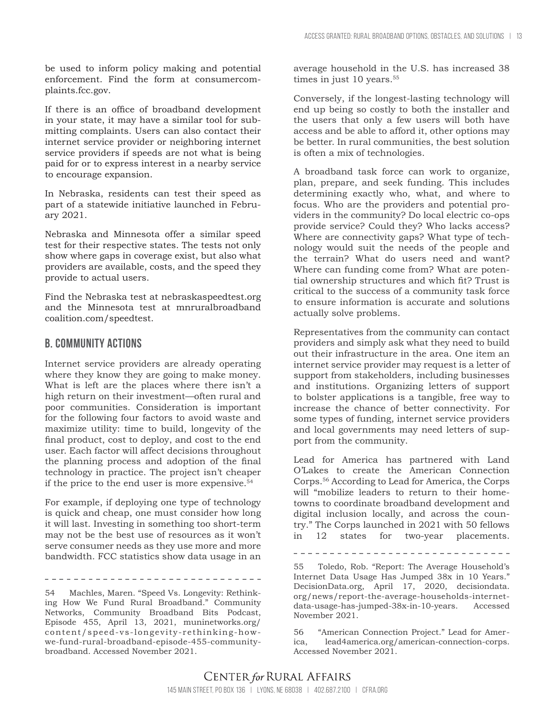be used to inform policy making and potential enforcement. Find the form at consumercomplaints.fcc.gov.

If there is an office of broadband development in your state, it may have a similar tool for submitting complaints. Users can also contact their internet service provider or neighboring internet service providers if speeds are not what is being paid for or to express interest in a nearby service to encourage expansion.

In Nebraska, residents can test their speed as part of a statewide initiative launched in February 2021.

Nebraska and Minnesota offer a similar speed test for their respective states. The tests not only show where gaps in coverage exist, but also what providers are available, costs, and the speed they provide to actual users.

Find the Nebraska test at nebraskaspeedtest.org and the Minnesota test at mnruralbroadband coalition.com/speedtest.

#### **B. Community actions**

Internet service providers are already operating where they know they are going to make money. What is left are the places where there isn't a high return on their investment—often rural and poor communities. Consideration is important for the following four factors to avoid waste and maximize utility: time to build, longevity of the final product, cost to deploy, and cost to the end user. Each factor will affect decisions throughout the planning process and adoption of the final technology in practice. The project isn't cheaper if the price to the end user is more expensive.54

For example, if deploying one type of technology is quick and cheap, one must consider how long it will last. Investing in something too short-term may not be the best use of resources as it won't serve consumer needs as they use more and more bandwidth. FCC statistics show data usage in an

\_\_\_\_\_\_\_\_\_\_\_\_\_\_\_\_\_\_\_\_\_\_\_\_\_\_\_\_\_\_\_\_

54 Machles, Maren. "Speed Vs. Longevity: Rethinking How We Fund Rural Broadband." Community Networks, Community Broadband Bits Podcast, Episode 455, April 13, 2021, muninetworks.org/ content/speed-vs-longevity-rethinking-howwe-fund-rural-broadband-episode-455-communitybroadband. Accessed November 2021.

average household in the U.S. has increased 38 times in just 10 years.<sup>55</sup>

Conversely, if the longest-lasting technology will end up being so costly to both the installer and the users that only a few users will both have access and be able to afford it, other options may be better. In rural communities, the best solution is often a mix of technologies.

A broadband task force can work to organize, plan, prepare, and seek funding. This includes determining exactly who, what, and where to focus. Who are the providers and potential providers in the community? Do local electric co-ops provide service? Could they? Who lacks access? Where are connectivity gaps? What type of technology would suit the needs of the people and the terrain? What do users need and want? Where can funding come from? What are potential ownership structures and which fit? Trust is critical to the success of a community task force to ensure information is accurate and solutions actually solve problems.

Representatives from the community can contact providers and simply ask what they need to build out their infrastructure in the area. One item an internet service provider may request is a letter of support from stakeholders, including businesses and institutions. Organizing letters of support to bolster applications is a tangible, free way to increase the chance of better connectivity. For some types of funding, internet service providers and local governments may need letters of support from the community.

Lead for America has partnered with Land O'Lakes to create the American Connection Corps.56 According to Lead for America, the Corps will "mobilize leaders to return to their hometowns to coordinate broadband development and digital inclusion locally, and across the country." The Corps launched in 2021 with 50 fellows in 12 states for two-year placements.

55 Toledo, Rob. "Report: The Average Household's Internet Data Usage Has Jumped 38x in 10 Years." DecisionData.org, April 17, 2020, decisiondata. org/news/report-the-average-households-internetdata-usage-has-jumped-38x-in-10-years. Accessed November 2021.

56 "American Connection Project." Lead for America, lead4america.org/american-connection-corps. Accessed November 2021.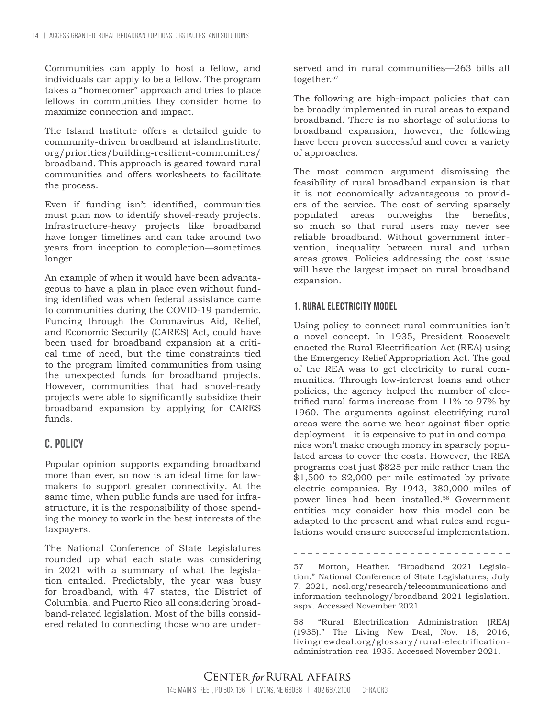Communities can apply to host a fellow, and individuals can apply to be a fellow. The program takes a "homecomer" approach and tries to place fellows in communities they consider home to maximize connection and impact.

The Island Institute offers a detailed guide to community-driven broadband at islandinstitute. org/priorities/building-resilient-communities/ broadband. This approach is geared toward rural communities and offers worksheets to facilitate the process.

Even if funding isn't identified, communities must plan now to identify shovel-ready projects. Infrastructure-heavy projects like broadband have longer timelines and can take around two years from inception to completion—sometimes longer.

An example of when it would have been advantageous to have a plan in place even without funding identified was when federal assistance came to communities during the COVID-19 pandemic. Funding through the Coronavirus Aid, Relief, and Economic Security (CARES) Act, could have been used for broadband expansion at a critical time of need, but the time constraints tied to the program limited communities from using the unexpected funds for broadband projects. However, communities that had shovel-ready projects were able to significantly subsidize their broadband expansion by applying for CARES funds.

## **C. Policy**

Popular opinion supports expanding broadband more than ever, so now is an ideal time for lawmakers to support greater connectivity. At the same time, when public funds are used for infrastructure, it is the responsibility of those spending the money to work in the best interests of the taxpayers.

The National Conference of State Legislatures rounded up what each state was considering in 2021 with a summary of what the legislation entailed. Predictably, the year was busy for broadband, with 47 states, the District of Columbia, and Puerto Rico all considering broadband-related legislation. Most of the bills considered related to connecting those who are underserved and in rural communities—263 bills all together.<sup>57</sup>

The following are high-impact policies that can be broadly implemented in rural areas to expand broadband. There is no shortage of solutions to broadband expansion, however, the following have been proven successful and cover a variety of approaches.

The most common argument dismissing the feasibility of rural broadband expansion is that it is not economically advantageous to providers of the service. The cost of serving sparsely populated areas outweighs the benefits, so much so that rural users may never see reliable broadband. Without government intervention, inequality between rural and urban areas grows. Policies addressing the cost issue will have the largest impact on rural broadband expansion.

#### **1. Rural electricity model**

Using policy to connect rural communities isn't a novel concept. In 1935, President Roosevelt enacted the Rural Electrification Act (REA) using the Emergency Relief Appropriation Act. The goal of the REA was to get electricity to rural communities. Through low-interest loans and other policies, the agency helped the number of electrified rural farms increase from 11% to 97% by 1960. The arguments against electrifying rural areas were the same we hear against fiber-optic deployment—it is expensive to put in and companies won't make enough money in sparsely populated areas to cover the costs. However, the REA programs cost just \$825 per mile rather than the \$1,500 to \$2,000 per mile estimated by private electric companies. By 1943, 380,000 miles of power lines had been installed.58 Government entities may consider how this model can be adapted to the present and what rules and regulations would ensure successful implementation.

57 Morton, Heather. "Broadband 2021 Legislation." National Conference of State Legislatures, July 7, 2021, ncsl.org/research/telecommunications-andinformation-technology/broadband-2021-legislation. aspx. Accessed November 2021.

-------------------------------

58 "Rural Electrification Administration (REA) (1935)." The Living New Deal, Nov. 18, 2016, livingnewdeal.org/glossary/rural-electrificationadministration-rea-1935. Accessed November 2021.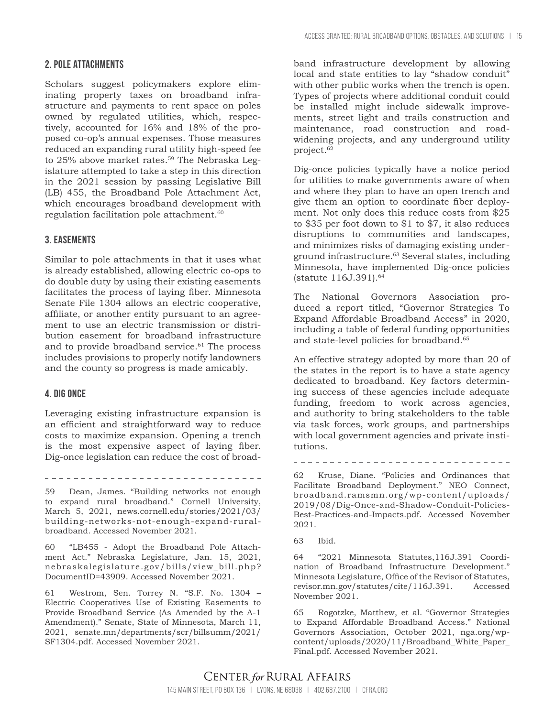#### **2. Pole attachments**

Scholars suggest policymakers explore eliminating property taxes on broadband infrastructure and payments to rent space on poles owned by regulated utilities, which, respectively, accounted for 16% and 18% of the proposed co-op's annual expenses. Those measures reduced an expanding rural utility high-speed fee to 25% above market rates.<sup>59</sup> The Nebraska Legislature attempted to take a step in this direction in the 2021 session by passing Legislative Bill (LB) 455, the Broadband Pole Attachment Act, which encourages broadband development with regulation facilitation pole attachment.<sup>60</sup>

#### **3. Easements**

Similar to pole attachments in that it uses what is already established, allowing electric co-ops to do double duty by using their existing easements facilitates the process of laying fiber. Minnesota Senate File 1304 allows an electric cooperative, affiliate, or another entity pursuant to an agreement to use an electric transmission or distribution easement for broadband infrastructure and to provide broadband service. $61$  The process includes provisions to properly notify landowners and the county so progress is made amicably.

#### **4. Dig once**

Leveraging existing infrastructure expansion is an efficient and straightforward way to reduce costs to maximize expansion. Opening a trench is the most expensive aspect of laying fiber. Dig-once legislation can reduce the cost of broad-

\_\_\_\_\_\_\_\_\_\_\_\_\_\_\_\_\_\_\_\_\_\_\_\_\_\_\_\_\_\_\_

59 Dean, James. "Building networks not enough to expand rural broadband." Cornell University, March 5, 2021, news.cornell.edu/stories/2021/03/ building-networks-not-enough-expand-ruralbroadband. Accessed November 2021.

60 "LB455 - Adopt the Broadband Pole Attachment Act." Nebraska Legislature, Jan. 15, 2021, nebraskalegislature.gov/bills/view\_bill.php? DocumentID=43909. Accessed November 2021.

61 Westrom, Sen. Torrey N. "S.F. No. 1304 – Electric Cooperatives Use of Existing Easements to Provide Broadband Service (As Amended by the A-1 Amendment)." Senate, State of Minnesota, March 11, 2021, senate.mn/departments/scr/billsumm/2021/ SF1304.pdf. Accessed November 2021.

band infrastructure development by allowing local and state entities to lay "shadow conduit" with other public works when the trench is open. Types of projects where additional conduit could be installed might include sidewalk improvements, street light and trails construction and maintenance, road construction and roadwidening projects, and any underground utility project.<sup>62</sup>

Dig-once policies typically have a notice period for utilities to make governments aware of when and where they plan to have an open trench and give them an option to coordinate fiber deployment. Not only does this reduce costs from \$25 to \$35 per foot down to \$1 to \$7, it also reduces disruptions to communities and landscapes, and minimizes risks of damaging existing underground infrastructure.63 Several states, including Minnesota, have implemented Dig-once policies (statute 116J.391).64

The National Governors Association produced a report titled, "Governor Strategies To Expand Affordable Broadband Access" in 2020, including a table of federal funding opportunities and state-level policies for broadband.<sup>65</sup>

An effective strategy adopted by more than 20 of the states in the report is to have a state agency dedicated to broadband. Key factors determining success of these agencies include adequate funding, freedom to work across agencies, and authority to bring stakeholders to the table via task forces, work groups, and partnerships with local government agencies and private institutions.

--------------------------------

62 Kruse, Diane. "Policies and Ordinances that Facilitate Broadband Deployment." NEO Connect, broadband.ramsmn.org/wp-content/uploads/ 2019/08/Dig-Once-and-Shadow-Conduit-Policies-Best-Practices-and-Impacts.pdf. Accessed November 2021.

64 "2021 Minnesota Statutes,116J.391 Coordination of Broadband Infrastructure Development." Minnesota Legislature, Office of the Revisor of Statutes, revisor.mn.gov/statutes/cite/116J.391. Accessed November 2021.

65 Rogotzke, Matthew, et al. "Governor Strategies to Expand Affordable Broadband Access." National Governors Association, October 2021, nga.org/wpcontent/uploads/2020/11/Broadband\_White\_Paper\_ Final.pdf. Accessed November 2021.

<sup>63</sup> Ibid.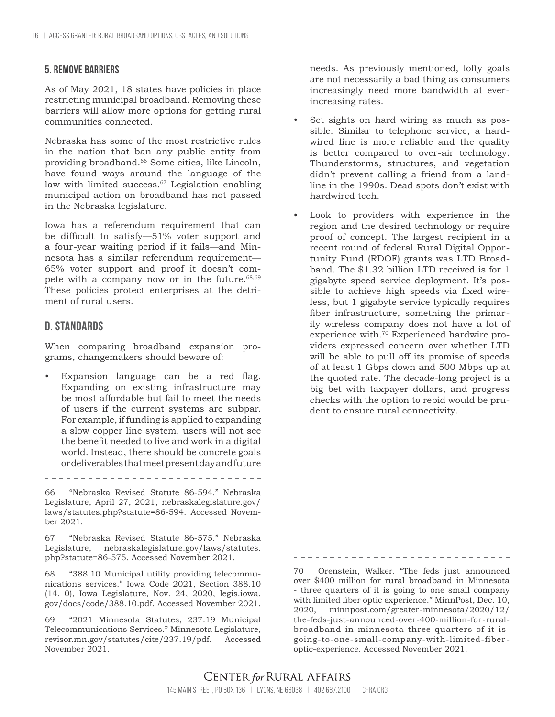#### **5. Remove barriers**

As of May 2021, 18 states have policies in place restricting municipal broadband. Removing these barriers will allow more options for getting rural communities connected.

Nebraska has some of the most restrictive rules in the nation that ban any public entity from providing broadband.66 Some cities, like Lincoln, have found ways around the language of the law with limited success.<sup>67</sup> Legislation enabling municipal action on broadband has not passed in the Nebraska legislature.

Iowa has a referendum requirement that can be difficult to satisfy—51% voter support and a four-year waiting period if it fails—and Minnesota has a similar referendum requirement— 65% voter support and proof it doesn't compete with a company now or in the future.<sup>68,69</sup> These policies protect enterprises at the detriment of rural users.

#### **D. Standards**

When comparing broadband expansion programs, changemakers should beware of:

Expansion language can be a red flag. Expanding on existing infrastructure may be most affordable but fail to meet the needs of users if the current systems are subpar. For example, if funding is applied to expanding a slow copper line system, users will not see the benefit needed to live and work in a digital world. Instead, there should be concrete goals or deliverables that meet present day and future

66 "Nebraska Revised Statute 86-594." Nebraska Legislature, April 27, 2021, nebraskalegislature.gov/ laws/statutes.php?statute=86-594. Accessed November 2021.

67 "Nebraska Revised Statute 86-575." Nebraska Legislature, nebraskalegislature.gov/laws/statutes. php?statute=86-575. Accessed November 2021.

68 "388.10 Municipal utility providing telecommunications services." Iowa Code 2021, Section 388.10 (14, 0), Iowa Legislature, Nov. 24, 2020, legis.iowa. gov/docs/code/388.10.pdf. Accessed November 2021.

69 "2021 Minnesota Statutes, 237.19 Municipal Telecommunications Services." Minnesota Legislature, revisor.mn.gov/statutes/cite/237.19/pdf. Accessed November 2021.

needs. As previously mentioned, lofty goals are not necessarily a bad thing as consumers increasingly need more bandwidth at everincreasing rates.

- Set sights on hard wiring as much as possible. Similar to telephone service, a hardwired line is more reliable and the quality is better compared to over-air technology. Thunderstorms, structures, and vegetation didn't prevent calling a friend from a landline in the 1990s. Dead spots don't exist with hardwired tech.
- Look to providers with experience in the region and the desired technology or require proof of concept. The largest recipient in a recent round of federal Rural Digital Opportunity Fund (RDOF) grants was LTD Broadband. The \$1.32 billion LTD received is for 1 gigabyte speed service deployment. It's possible to achieve high speeds via fixed wireless, but 1 gigabyte service typically requires fiber infrastructure, something the primarily wireless company does not have a lot of experience with.70 Experienced hardwire providers expressed concern over whether LTD will be able to pull off its promise of speeds of at least 1 Gbps down and 500 Mbps up at the quoted rate. The decade-long project is a big bet with taxpayer dollars, and progress checks with the option to rebid would be prudent to ensure rural connectivity.

70 Orenstein, Walker. "The feds just announced over \$400 million for rural broadband in Minnesota - three quarters of it is going to one small company with limited fiber optic experience." MinnPost, Dec. 10, 2020, minnpost.com/greater-minnesota/2020/12/ the-feds-just-announced-over-400-million-for-ruralbroadband-in-minnesota-three-quarters-of-it-isgoing-to-one-small-company-with-limited-fiberoptic-experience. Accessed November 2021.